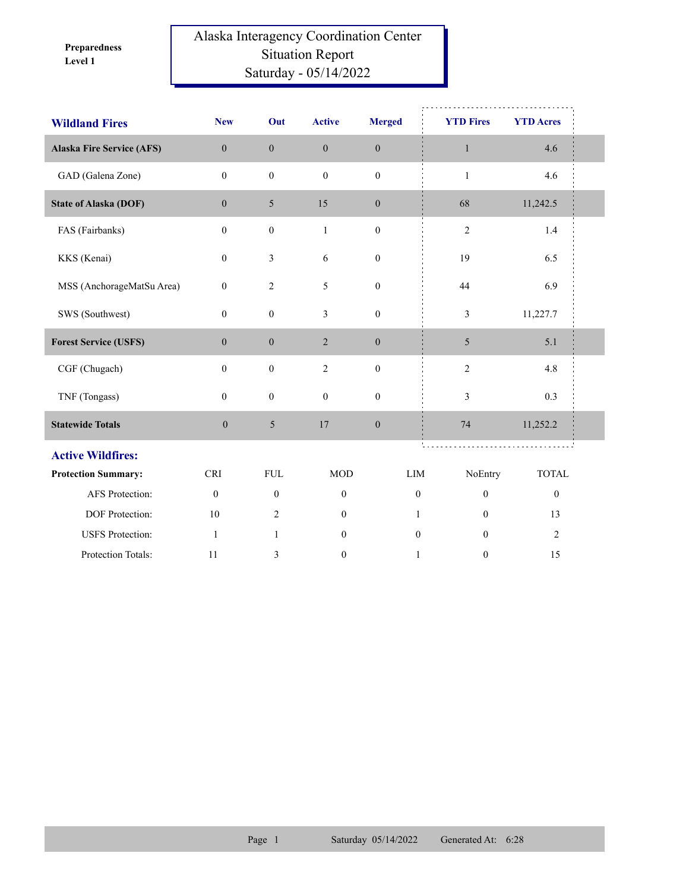**Level 1 Preparedness** 

## Alaska Interagency Coordination Center Situation Report Saturday - 05/14/2022

| <b>Wildland Fires</b>            | <b>New</b>       | Out              | <b>Active</b>    | <b>Merged</b>    | <b>YTD Fires</b> | <b>YTD Acres</b> |  |
|----------------------------------|------------------|------------------|------------------|------------------|------------------|------------------|--|
| <b>Alaska Fire Service (AFS)</b> | $\mathbf{0}$     | $\mathbf{0}$     | $\boldsymbol{0}$ | $\mathbf{0}$     | $\mathbf{1}$     | 4.6              |  |
| GAD (Galena Zone)                | $\theta$         | $\mathbf{0}$     | $\mathbf{0}$     | $\mathbf{0}$     | $\mathbf{1}$     | 4.6              |  |
| <b>State of Alaska (DOF)</b>     | $\mathbf{0}$     | $\overline{5}$   | 15               | $\mathbf{0}$     | 68               | 11,242.5         |  |
| FAS (Fairbanks)                  | $\mathbf{0}$     | $\boldsymbol{0}$ | $\mathbf{1}$     | $\boldsymbol{0}$ | $\mathfrak{2}$   | 1.4              |  |
| KKS (Kenai)                      | $\mathbf{0}$     | $\mathfrak{Z}$   | 6                | $\boldsymbol{0}$ | 19               | 6.5              |  |
| MSS (AnchorageMatSu Area)        | $\boldsymbol{0}$ | $\sqrt{2}$       | 5                | $\boldsymbol{0}$ | 44               | 6.9              |  |
| SWS (Southwest)                  | $\mathbf{0}$     | $\boldsymbol{0}$ | 3                | $\boldsymbol{0}$ | $\mathfrak{Z}$   | 11,227.7         |  |
| <b>Forest Service (USFS)</b>     | $\mathbf{0}$     | $\boldsymbol{0}$ | $\overline{2}$   | $\boldsymbol{0}$ | 5                | 5.1              |  |
| CGF (Chugach)                    | $\mathbf{0}$     | $\boldsymbol{0}$ | 2                | $\mathbf{0}$     | $\overline{c}$   | 4.8              |  |
| TNF (Tongass)                    | $\mathbf{0}$     | $\boldsymbol{0}$ | $\boldsymbol{0}$ | $\boldsymbol{0}$ | $\mathfrak{Z}$   | 0.3              |  |
| <b>Statewide Totals</b>          | $\boldsymbol{0}$ | 5                | 17               | $\boldsymbol{0}$ | 74               | 11,252.2         |  |
| <b>Active Wildfires:</b>         |                  |                  |                  |                  |                  |                  |  |
| <b>Protection Summary:</b>       | <b>CRI</b>       | ${\rm FUL}$      | <b>MOD</b>       | LIM              | NoEntry          | <b>TOTAL</b>     |  |
| AFS Protection:                  | $\boldsymbol{0}$ | $\boldsymbol{0}$ | $\boldsymbol{0}$ | $\boldsymbol{0}$ | $\boldsymbol{0}$ | $\boldsymbol{0}$ |  |
| DOF Protection:                  | 10               | 2                | $\mathbf{0}$     | $\mathbf{1}$     | $\mathbf{0}$     | 13               |  |
| <b>USFS</b> Protection:          | $\mathbf{1}$     | $\mathbf{1}$     | $\mathbf{0}$     | $\theta$         | $\Omega$         | $\overline{2}$   |  |
| Protection Totals:               | 11               | 3                | $\mathbf{0}$     | $\mathbf{1}$     | $\mathbf{0}$     | 15               |  |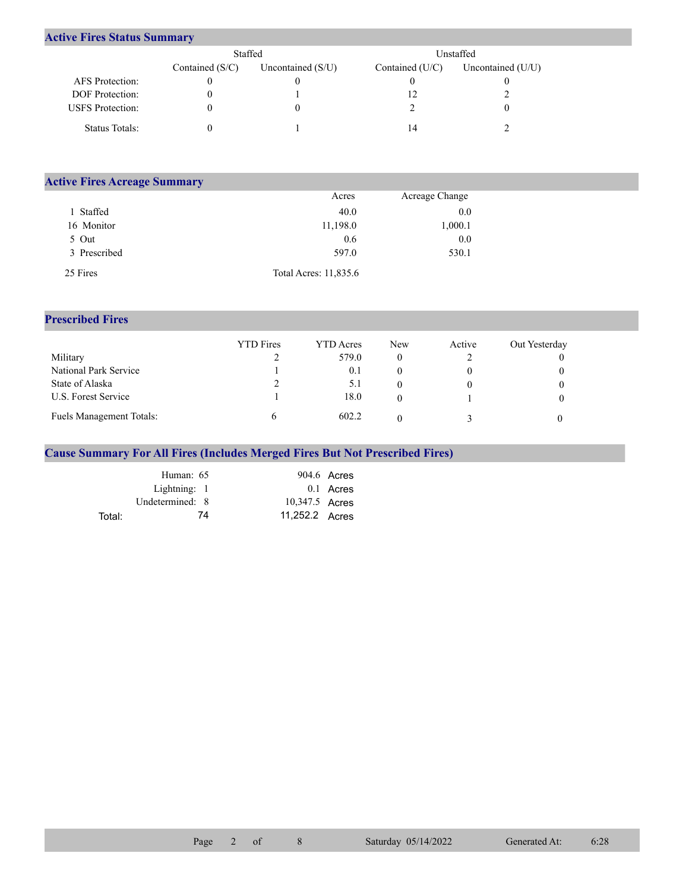## **Active Fires Status Summary**

|                         | Staffed           |                     | Unstaffed       |                   |  |  |
|-------------------------|-------------------|---------------------|-----------------|-------------------|--|--|
|                         | Contained $(S/C)$ | Uncontained $(S/U)$ | Contained (U/C) | Uncontained (U/U) |  |  |
| AFS Protection:         |                   |                     |                 |                   |  |  |
| DOF Protection:         |                   |                     |                 |                   |  |  |
| <b>USFS</b> Protection: |                   |                     |                 |                   |  |  |
| Status Totals:          |                   |                     |                 |                   |  |  |

| <b>Active Fires Acreage Summary</b> |                       |                |  |
|-------------------------------------|-----------------------|----------------|--|
|                                     | Acres                 | Acreage Change |  |
| Staffed                             | 40.0                  | 0.0            |  |
| 16 Monitor                          | 11,198.0              | 1,000.1        |  |
| 5 Out                               | 0.6                   | 0.0            |  |
| 3 Prescribed                        | 597.0                 | 530.1          |  |
| 25 Fires                            | Total Acres: 11,835.6 |                |  |

## **Prescribed Fires**

|                                 | <b>YTD</b> Fires | <b>YTD</b> Acres | <b>New</b> | Active | Out Yesterday |
|---------------------------------|------------------|------------------|------------|--------|---------------|
| Military                        |                  | 579.0            |            |        |               |
| National Park Service           |                  | 0.1              |            |        |               |
| State of Alaska                 |                  | 5.1              |            |        |               |
| U.S. Forest Service             |                  | 18.0             |            |        |               |
| <b>Fuels Management Totals:</b> |                  | 602.2            |            |        |               |

## **Cause Summary For All Fires (Includes Merged Fires But Not Prescribed Fires)**

|        | Human: 65       |                | $904.6$ Acres |
|--------|-----------------|----------------|---------------|
|        | Lightning: 1    |                | $0.1$ Acres   |
|        | Undetermined: 8 | 10,347.5 Acres |               |
| Total: | 74              | 11,252.2 Acres |               |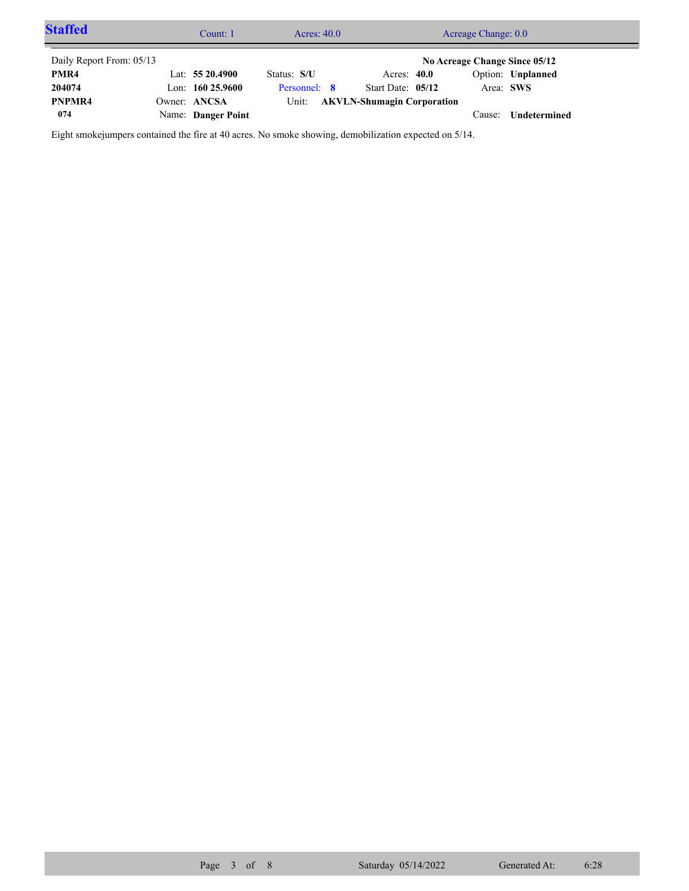| <b>Staffed</b>           | Count: 1           | Acres: $40.0$ |  | Acreage Change: 0.0               |  |           |                               |  |
|--------------------------|--------------------|---------------|--|-----------------------------------|--|-----------|-------------------------------|--|
| Daily Report From: 05/13 |                    |               |  |                                   |  |           | No Acreage Change Since 05/12 |  |
| PMR4                     | Lat: $5520.4900$   | Status: S/U   |  | Acres: $40.0$                     |  |           | Option: Unplanned             |  |
| 204074                   | Lon: $16025.9600$  | Personnel: 8  |  | Start Date: 05/12                 |  | Area: SWS |                               |  |
| PNPMR4                   | Owner: ANCSA       | Unit:         |  | <b>AKVLN-Shumagin Corporation</b> |  |           |                               |  |
| 074                      | Name: Danger Point |               |  |                                   |  | Cause:    | Undetermined                  |  |

Eight smokejumpers contained the fire at 40 acres. No smoke showing, demobilization expected on 5/14.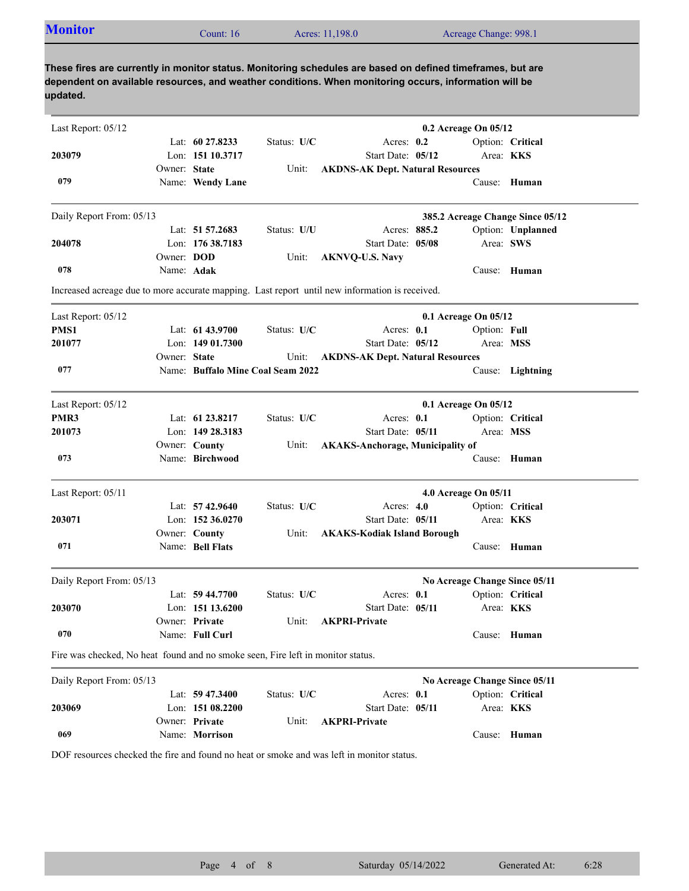| <b>Monitor</b>                                                                  |                   | Count: 16          |                                   | Acres: 11,198.0                                                                                                                                                                                                     | Acreage Change: 998.1         |                                  |
|---------------------------------------------------------------------------------|-------------------|--------------------|-----------------------------------|---------------------------------------------------------------------------------------------------------------------------------------------------------------------------------------------------------------------|-------------------------------|----------------------------------|
| updated.                                                                        |                   |                    |                                   | These fires are currently in monitor status. Monitoring schedules are based on defined timeframes, but are<br>dependent on available resources, and weather conditions. When monitoring occurs, information will be |                               |                                  |
| Last Report: 05/12                                                              |                   |                    |                                   |                                                                                                                                                                                                                     | 0.2 Acreage On 05/12          |                                  |
|                                                                                 |                   | Lat: $6027.8233$   | Status: U/C                       | Acres: 0.2                                                                                                                                                                                                          |                               | Option: Critical                 |
| 203079                                                                          |                   | Lon: 151 10.3717   |                                   | Start Date: 05/12                                                                                                                                                                                                   |                               | Area: KKS                        |
|                                                                                 | Owner: State      |                    | Unit:                             | <b>AKDNS-AK Dept. Natural Resources</b>                                                                                                                                                                             |                               |                                  |
| 079                                                                             |                   | Name: Wendy Lane   |                                   |                                                                                                                                                                                                                     |                               | Cause: Human                     |
| Daily Report From: 05/13                                                        |                   |                    |                                   |                                                                                                                                                                                                                     |                               | 385.2 Acreage Change Since 05/12 |
|                                                                                 |                   | Lat: 51 57.2683    | Status: U/U                       | Acres: 885.2                                                                                                                                                                                                        |                               | Option: Unplanned                |
| 204078                                                                          |                   | Lon: 176 38.7183   |                                   | Start Date: 05/08                                                                                                                                                                                                   |                               | Area: SWS                        |
|                                                                                 | Owner: <b>DOD</b> |                    | Unit:                             | <b>AKNVQ-U.S. Navy</b>                                                                                                                                                                                              |                               |                                  |
| 078                                                                             | Name: Adak        |                    |                                   |                                                                                                                                                                                                                     |                               | Cause: Human                     |
|                                                                                 |                   |                    |                                   | Increased acreage due to more accurate mapping. Last report until new information is received.                                                                                                                      |                               |                                  |
| Last Report: 05/12                                                              |                   |                    |                                   |                                                                                                                                                                                                                     | 0.1 Acreage On 05/12          |                                  |
| PMS1                                                                            |                   | Lat: $6143.9700$   | Status: U/C                       | Acres: $0.1$                                                                                                                                                                                                        | Option: Full                  |                                  |
| 201077                                                                          |                   | Lon: $14901.7300$  |                                   | Start Date: 05/12                                                                                                                                                                                                   |                               | Area: MSS                        |
|                                                                                 | Owner: State      |                    | Unit:                             | <b>AKDNS-AK Dept. Natural Resources</b>                                                                                                                                                                             |                               |                                  |
| 077                                                                             |                   |                    | Name: Buffalo Mine Coal Seam 2022 |                                                                                                                                                                                                                     |                               | Cause: Lightning                 |
| Last Report: 05/12                                                              |                   |                    |                                   |                                                                                                                                                                                                                     | 0.1 Acreage On 05/12          |                                  |
| PMR3                                                                            |                   | Lat: 61 23.8217    | Status: U/C                       | Acres: $0.1$                                                                                                                                                                                                        |                               | Option: Critical                 |
| 201073                                                                          |                   | Lon: 149 28.3183   |                                   | Start Date: 05/11                                                                                                                                                                                                   |                               | Area: MSS                        |
|                                                                                 |                   | Owner: County      | Unit:                             | <b>AKAKS-Anchorage, Municipality of</b>                                                                                                                                                                             |                               |                                  |
| 073                                                                             |                   | Name: Birchwood    |                                   |                                                                                                                                                                                                                     |                               | Cause: Human                     |
| Last Report: 05/11                                                              |                   |                    |                                   |                                                                                                                                                                                                                     | 4.0 Acreage On 05/11          |                                  |
|                                                                                 |                   | Lat: 57 42.9640    | Status: U/C                       | Acres: $4.0$                                                                                                                                                                                                        |                               | Option: Critical                 |
| 203071                                                                          |                   | Lon: 152 36.0270   |                                   | Start Date: 05/11                                                                                                                                                                                                   |                               | Area: KKS                        |
|                                                                                 |                   | Owner: County      | Unit:                             | <b>AKAKS-Kodiak Island Borough</b>                                                                                                                                                                                  |                               |                                  |
| 071                                                                             |                   | Name: Bell Flats   |                                   |                                                                                                                                                                                                                     |                               | Cause: Human                     |
| Daily Report From: 05/13                                                        |                   |                    |                                   |                                                                                                                                                                                                                     | No Acreage Change Since 05/11 |                                  |
|                                                                                 |                   | Lat: $59\,44.7700$ | Status: U/C                       | Acres: 0.1                                                                                                                                                                                                          |                               | Option: Critical                 |
| 203070                                                                          |                   | Lon: 151 13.6200   |                                   | Start Date: 05/11                                                                                                                                                                                                   |                               | Area: KKS                        |
|                                                                                 |                   | Owner: Private     | Unit:                             | <b>AKPRI-Private</b>                                                                                                                                                                                                |                               |                                  |
| 070                                                                             |                   | Name: Full Curl    |                                   |                                                                                                                                                                                                                     |                               | Cause: Human                     |
| Fire was checked, No heat found and no smoke seen, Fire left in monitor status. |                   |                    |                                   |                                                                                                                                                                                                                     |                               |                                  |
|                                                                                 |                   |                    |                                   |                                                                                                                                                                                                                     | No Acreage Change Since 05/11 |                                  |
| Daily Report From: 05/13                                                        |                   |                    |                                   |                                                                                                                                                                                                                     |                               |                                  |
|                                                                                 |                   | Lat: 59 47.3400    | Status: U/C                       | Acres: 0.1                                                                                                                                                                                                          |                               | Option: Critical                 |

Unit: **AKPRI-Private** 

DOF resources checked the fire and found no heat or smoke and was left in monitor status.

Name: **Morrison**

Owner: Private

**069**

Cause: **Human**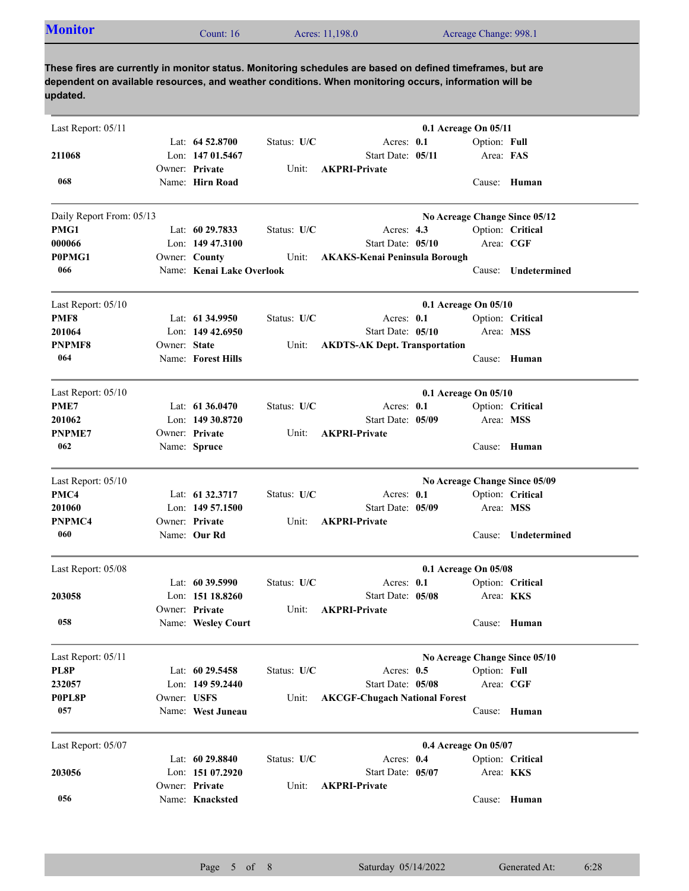| <b>Monitor</b><br>Acres: 11,198.0<br>Acreage Change: 998.1<br>Count: 16 |  |
|-------------------------------------------------------------------------|--|
|-------------------------------------------------------------------------|--|

**These fires are currently in monitor status. Monitoring schedules are based on defined timeframes, but are dependent on available resources, and weather conditions. When monitoring occurs, information will be updated.**

| Last Report: 05/11       |              |                                   |             |                                      | 0.1 Acreage On 05/11 |              |                               |
|--------------------------|--------------|-----------------------------------|-------------|--------------------------------------|----------------------|--------------|-------------------------------|
|                          |              | Lat: $64\,52.8700$                | Status: U/C | Acres: $0.1$                         |                      | Option: Full |                               |
| 211068                   |              | Lon: 147 01.5467                  |             | Start Date: 05/11                    |                      | Area: FAS    |                               |
|                          |              | Owner: Private                    | Unit:       | <b>AKPRI-Private</b>                 |                      |              |                               |
| 068                      |              | Name: Hirn Road                   |             |                                      |                      |              | Cause: Human                  |
|                          |              |                                   |             |                                      |                      |              |                               |
| Daily Report From: 05/13 |              |                                   |             |                                      |                      |              | No Acreage Change Since 05/12 |
| PMG1                     |              | Lat: $6029.7833$                  | Status: U/C | Acres: $4.3$                         |                      |              | Option: Critical              |
| 000066                   |              | Lon: 149 47,3100                  |             | Start Date: 05/10                    |                      | Area: CGF    |                               |
| P0PMG1                   |              | Owner: County                     | Unit:       | <b>AKAKS-Kenai Peninsula Borough</b> |                      |              |                               |
| 066                      |              | Name: Kenai Lake Overlook         |             |                                      |                      | Cause:       | Undetermined                  |
|                          |              |                                   |             |                                      |                      |              |                               |
| Last Report: 05/10       |              |                                   |             |                                      | 0.1 Acreage On 05/10 |              |                               |
| PMF8                     |              | Lat: 61 34.9950                   | Status: U/C | Acres: 0.1                           |                      |              | Option: Critical              |
| 201064                   |              | Lon: $14942.6950$                 |             | Start Date: 05/10                    |                      | Area: MSS    |                               |
| <b>PNPMF8</b>            | Owner: State |                                   | Unit:       | <b>AKDTS-AK Dept. Transportation</b> |                      |              |                               |
| 064                      |              | Name: Forest Hills                |             |                                      |                      |              | Cause: Human                  |
|                          |              |                                   |             |                                      |                      |              |                               |
| Last Report: 05/10       |              |                                   |             |                                      | 0.1 Acreage On 05/10 |              |                               |
| PME7                     |              | Lat: $61\,36.0470$                | Status: U/C | Acres: $0.1$                         |                      |              | Option: Critical              |
| 201062                   |              | Lon: 149 30.8720                  |             | Start Date: 05/09                    |                      | Area: MSS    |                               |
| <b>PNPME7</b>            |              | Owner: Private                    | Unit:       | <b>AKPRI-Private</b>                 |                      |              |                               |
| 062                      |              | Name: Spruce                      |             |                                      |                      |              | Cause: Human                  |
|                          |              |                                   |             |                                      |                      |              |                               |
| Last Report: 05/10       |              |                                   |             |                                      |                      |              | No Acreage Change Since 05/09 |
| PMC4                     |              | Lat: 61 32.3717                   | Status: U/C | Acres: $0.1$                         |                      |              | Option: Critical              |
| 201060                   |              | Lon: $14957.1500$                 |             | Start Date: 05/09                    |                      | Area: MSS    |                               |
| PNPMC4                   |              | Owner: Private                    | Unit:       | <b>AKPRI-Private</b>                 |                      |              |                               |
| 060                      |              | Name: Our Rd                      |             |                                      |                      | Cause:       | Undetermined                  |
|                          |              |                                   |             |                                      |                      |              |                               |
| Last Report: 05/08       |              |                                   |             |                                      | 0.1 Acreage On 05/08 |              |                               |
|                          |              | Lat: 60 39.5990                   | Status: U/C | Acres: $0.1$                         |                      |              | Option: Critical              |
| 203058                   |              | Lon: 151 18.8260                  |             | Start Date: 05/08                    |                      |              | Area: <b>KKS</b>              |
|                          |              | Owner: Private                    | Unit:       | <b>AKPRI-Private</b>                 |                      |              |                               |
| 058                      |              | Name: Wesley Court                |             |                                      |                      |              | Cause: Human                  |
|                          |              |                                   |             |                                      |                      |              |                               |
| Last Report: 05/11       |              |                                   |             |                                      |                      |              | No Acreage Change Since 05/10 |
| PL8P                     |              | Lat: 60 29.5458                   | Status: U/C | Acres: 0.5                           |                      | Option: Full |                               |
| 232057                   |              | Lon: 149 59.2440                  |             | Start Date: 05/08                    |                      | Area: CGF    |                               |
| P0PL8P                   |              | Owner: USFS                       | Unit:       | <b>AKCGF-Chugach National Forest</b> |                      |              |                               |
|                          |              |                                   |             |                                      |                      |              |                               |
| 057                      |              | Name: West Juneau                 |             |                                      |                      |              | Cause: Human                  |
|                          |              |                                   |             |                                      |                      |              |                               |
| Last Report: 05/07       |              |                                   |             |                                      | 0.4 Acreage On 05/07 |              |                               |
|                          |              | Lat: 60 29.8840                   | Status: U/C | Acres: 0.4                           |                      |              | Option: Critical              |
| 203056                   |              | Lon: 151 07.2920                  |             | Start Date: 05/07                    |                      |              | Area: KKS                     |
| 056                      |              | Owner: Private<br>Name: Knacksted | Unit:       | <b>AKPRI-Private</b>                 |                      |              | Cause: Human                  |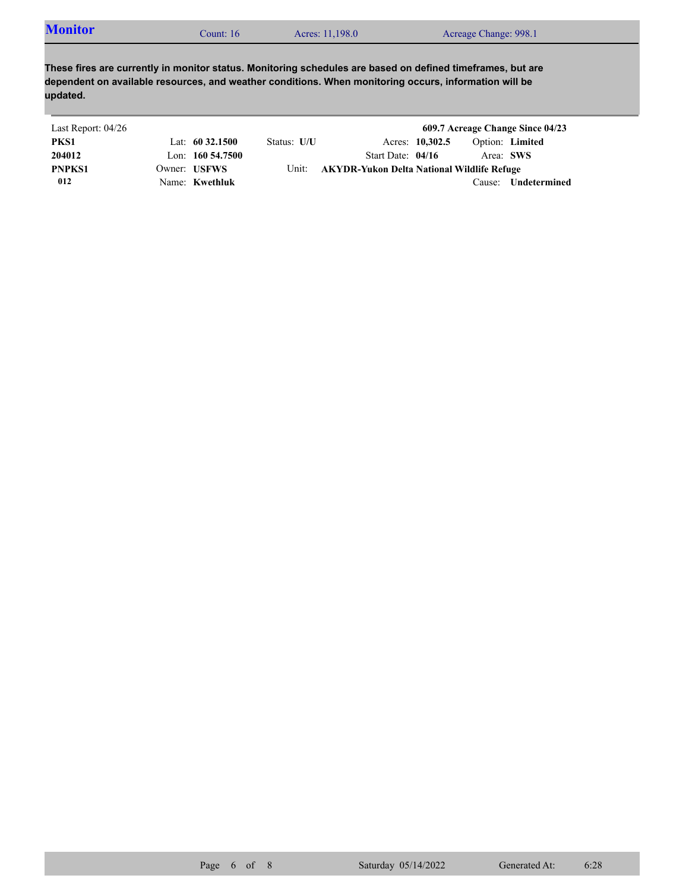| <b>Monitor</b><br>Count: 16 | Acres: 11,198.0 | Acreage Change: 998.1 |  |
|-----------------------------|-----------------|-----------------------|--|
|-----------------------------|-----------------|-----------------------|--|

**These fires are currently in monitor status. Monitoring schedules are based on defined timeframes, but are dependent on available resources, and weather conditions. When monitoring occurs, information will be updated.**

| Last Report: 04/26 |                     |             |                                            |                 |           | 609.7 Acreage Change Since 04/23 |
|--------------------|---------------------|-------------|--------------------------------------------|-----------------|-----------|----------------------------------|
| PKS1               | Lat: $60\,32.1500$  | Status: U/U |                                            | Acres: 10,302.5 |           | Option: Limited                  |
| 204012             | Lon: $160\,54.7500$ |             | Start Date: $04/16$                        |                 | Area: SWS |                                  |
| <b>PNPKS1</b>      | Owner: USFWS        | Unit:       | AKYDR-Yukon Delta National Wildlife Refuge |                 |           |                                  |
| 012                | Name: Kwethluk      |             |                                            |                 | Cause:    | Undetermined                     |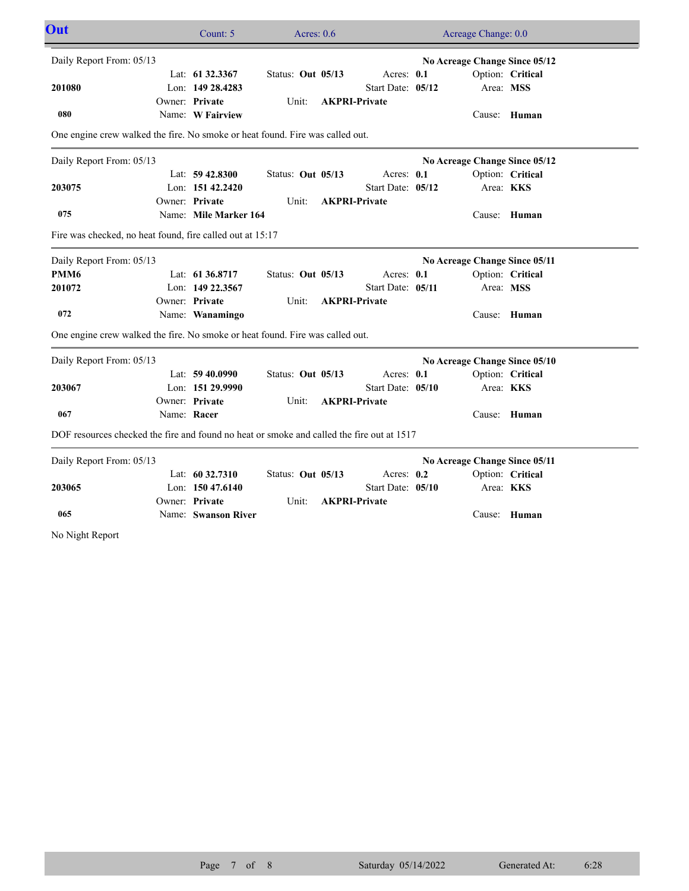| Out                                                                                       |             | Count: 5              | Acres: $0.6$      |                      | Acreage Change: 0.0           |                  |  |
|-------------------------------------------------------------------------------------------|-------------|-----------------------|-------------------|----------------------|-------------------------------|------------------|--|
| Daily Report From: 05/13                                                                  |             |                       |                   |                      | No Acreage Change Since 05/12 |                  |  |
|                                                                                           |             | Lat: 61 32.3367       | Status: Out 05/13 | Acres: 0.1           |                               | Option: Critical |  |
| 201080                                                                                    |             | Lon: 149 28.4283      |                   | Start Date: 05/12    | Area: MSS                     |                  |  |
|                                                                                           |             | Owner: Private        | Unit:             | <b>AKPRI-Private</b> |                               |                  |  |
| 080                                                                                       |             | Name: W Fairview      |                   |                      |                               | Cause: Human     |  |
| One engine crew walked the fire. No smoke or heat found. Fire was called out.             |             |                       |                   |                      |                               |                  |  |
| Daily Report From: 05/13                                                                  |             |                       |                   |                      | No Acreage Change Since 05/12 |                  |  |
|                                                                                           |             | Lat: 59 42.8300       | Status: Out 05/13 | Acres: 0.1           |                               | Option: Critical |  |
| 203075                                                                                    |             | Lon: 151 42.2420      |                   | Start Date: 05/12    | Area: KKS                     |                  |  |
|                                                                                           |             | Owner: Private        | Unit:             | <b>AKPRI-Private</b> |                               |                  |  |
| 075                                                                                       |             | Name: Mile Marker 164 |                   |                      |                               | Cause: Human     |  |
| Fire was checked, no heat found, fire called out at 15:17                                 |             |                       |                   |                      |                               |                  |  |
| Daily Report From: 05/13                                                                  |             |                       |                   |                      | No Acreage Change Since 05/11 |                  |  |
| PMM <sub>6</sub>                                                                          |             | Lat: 61 36.8717       | Status: Out 05/13 | Acres: 0.1           |                               | Option: Critical |  |
| 201072                                                                                    |             | Lon: 149 22.3567      |                   | Start Date: 05/11    | Area: MSS                     |                  |  |
|                                                                                           |             | Owner: Private        | Unit:             | <b>AKPRI-Private</b> |                               |                  |  |
| 072                                                                                       |             | Name: Wanamingo       |                   |                      |                               | Cause: Human     |  |
| One engine crew walked the fire. No smoke or heat found. Fire was called out.             |             |                       |                   |                      |                               |                  |  |
| Daily Report From: 05/13                                                                  |             |                       |                   |                      | No Acreage Change Since 05/10 |                  |  |
|                                                                                           |             | Lat: 59 40.0990       | Status: Out 05/13 | Acres: 0.1           |                               | Option: Critical |  |
| 203067                                                                                    |             | Lon: 151 29.9990      |                   | Start Date: 05/10    | Area: KKS                     |                  |  |
|                                                                                           |             | Owner: Private        | Unit:             | <b>AKPRI-Private</b> |                               |                  |  |
| 067                                                                                       | Name: Racer |                       |                   |                      |                               | Cause: Human     |  |
| DOF resources checked the fire and found no heat or smoke and called the fire out at 1517 |             |                       |                   |                      |                               |                  |  |
| Daily Report From: 05/13                                                                  |             |                       |                   |                      | No Acreage Change Since 05/11 |                  |  |
|                                                                                           |             | Lat: 60 32.7310       | Status: Out 05/13 | Acres: 0.2           |                               | Option: Critical |  |
| 203065                                                                                    |             | Lon: $15047.6140$     |                   | Start Date: 05/10    | Area: <b>KKS</b>              |                  |  |
|                                                                                           |             | Owner: Private        | Unit:             | <b>AKPRI-Private</b> |                               |                  |  |
| 065                                                                                       |             | Name: Swanson River   |                   |                      |                               | Cause: Human     |  |
| No Night Report                                                                           |             |                       |                   |                      |                               |                  |  |